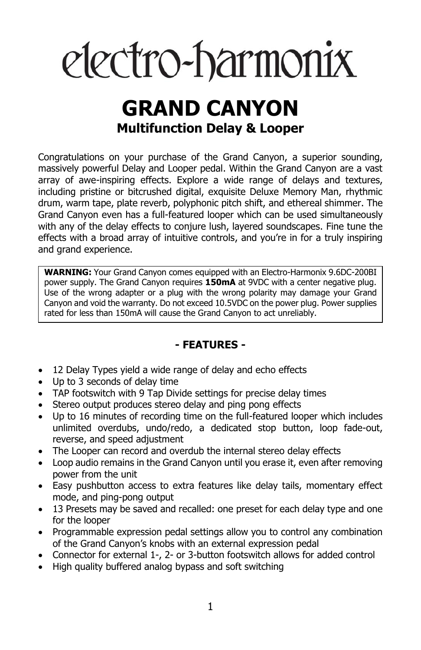# electro-harmonix

# **GRAND CANYON Multifunction Delay & Looper**

Congratulations on your purchase of the Grand Canyon, a superior sounding, massively powerful Delay and Looper pedal. Within the Grand Canyon are a vast array of awe-inspiring effects. Explore a wide range of delays and textures, including pristine or bitcrushed digital, exquisite Deluxe Memory Man, rhythmic drum, warm tape, plate reverb, polyphonic pitch shift, and ethereal shimmer. The Grand Canyon even has a full-featured looper which can be used simultaneously with any of the delay effects to conjure lush, layered soundscapes. Fine tune the effects with a broad array of intuitive controls, and you're in for a truly inspiring and grand experience.

**WARNING:** Your Grand Canyon comes equipped with an Electro-Harmonix 9.6DC-200BI power supply. The Grand Canyon requires **150mA** at 9VDC with a center negative plug. Use of the wrong adapter or a plug with the wrong polarity may damage your Grand Canyon and void the warranty. Do not exceed 10.5VDC on the power plug. Power supplies rated for less than 150mA will cause the Grand Canyon to act unreliably.

### **- FEATURES -**

- 12 Delay Types yield a wide range of delay and echo effects
- Up to 3 seconds of delay time
- TAP footswitch with 9 Tap Divide settings for precise delay times
- Stereo output produces stereo delay and ping pong effects
- Up to 16 minutes of recording time on the full-featured looper which includes unlimited overdubs, undo/redo, a dedicated stop button, loop fade-out, reverse, and speed adjustment
- The Looper can record and overdub the internal stereo delay effects
- Loop audio remains in the Grand Canyon until you erase it, even after removing power from the unit
- Easy pushbutton access to extra features like delay tails, momentary effect mode, and ping-pong output
- 13 Presets may be saved and recalled: one preset for each delay type and one for the looper
- Programmable expression pedal settings allow you to control any combination of the Grand Canyon's knobs with an external expression pedal
- Connector for external 1-, 2- or 3-button footswitch allows for added control
- High quality buffered analog bypass and soft switching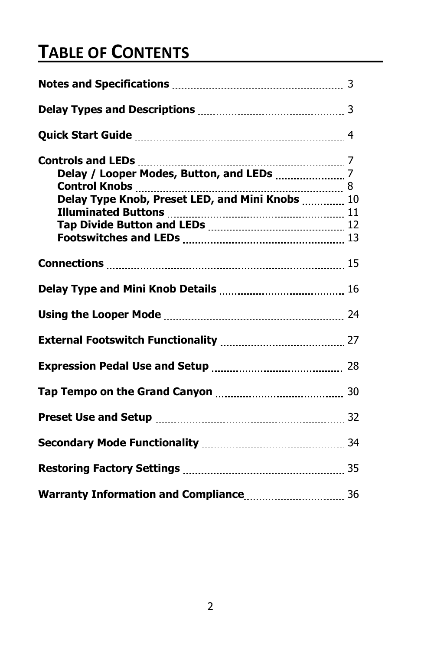# **TABLE OF CONTENTS**

| Delay Type Knob, Preset LED, and Mini Knobs  10                           |  |
|---------------------------------------------------------------------------|--|
|                                                                           |  |
|                                                                           |  |
|                                                                           |  |
|                                                                           |  |
|                                                                           |  |
|                                                                           |  |
|                                                                           |  |
|                                                                           |  |
|                                                                           |  |
|                                                                           |  |
| Secondary Mode Functionality [11, 1201] Secondary Mode Functionality [14] |  |
|                                                                           |  |
|                                                                           |  |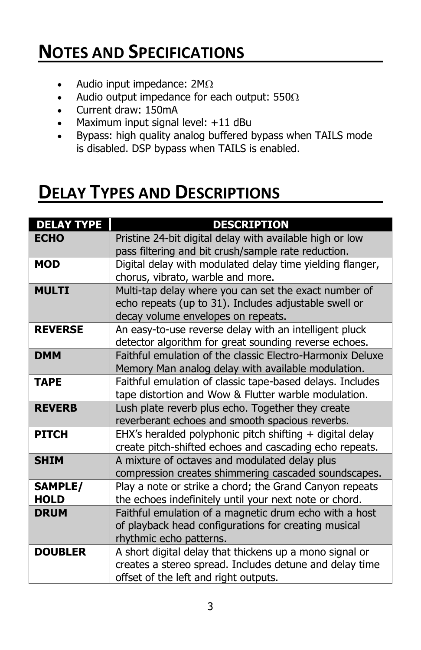# **NOTES AND SPECIFICATIONS**

- Audio input impedance:  $2M\Omega$
- Audio output impedance for each output: 550 $\Omega$
- Current draw: 150mA
- Maximum input signal level: +11 dBu
- Bypass: high quality analog buffered bypass when TAILS mode is disabled. DSP bypass when TAILS is enabled.

# **DELAY TYPES AND DESCRIPTIONS**

| <b>DELAY TYPE</b> | <b>DESCRIPTION</b>                                        |
|-------------------|-----------------------------------------------------------|
| <b>ECHO</b>       | Pristine 24-bit digital delay with available high or low  |
|                   | pass filtering and bit crush/sample rate reduction.       |
| <b>MOD</b>        | Digital delay with modulated delay time yielding flanger, |
|                   | chorus, vibrato, warble and more.                         |
| <b>MULTI</b>      | Multi-tap delay where you can set the exact number of     |
|                   | echo repeats (up to 31). Includes adjustable swell or     |
|                   | decay volume envelopes on repeats.                        |
| <b>REVERSE</b>    | An easy-to-use reverse delay with an intelligent pluck    |
|                   | detector algorithm for great sounding reverse echoes.     |
| <b>DMM</b>        | Faithful emulation of the classic Electro-Harmonix Deluxe |
|                   | Memory Man analog delay with available modulation.        |
| <b>TAPE</b>       | Faithful emulation of classic tape-based delays. Includes |
|                   | tape distortion and Wow & Flutter warble modulation.      |
| <b>REVERB</b>     | Lush plate reverb plus echo. Together they create         |
|                   | reverberant echoes and smooth spacious reverbs.           |
| <b>PITCH</b>      | EHX's heralded polyphonic pitch shifting + digital delay  |
|                   | create pitch-shifted echoes and cascading echo repeats.   |
| <b>SHIM</b>       | A mixture of octaves and modulated delay plus             |
|                   | compression creates shimmering cascaded soundscapes.      |
| <b>SAMPLE/</b>    | Play a note or strike a chord; the Grand Canyon repeats   |
| <b>HOLD</b>       | the echoes indefinitely until your next note or chord.    |
| <b>DRUM</b>       | Faithful emulation of a magnetic drum echo with a host    |
|                   | of playback head configurations for creating musical      |
|                   | rhythmic echo patterns.                                   |
| <b>DOUBLER</b>    | A short digital delay that thickens up a mono signal or   |
|                   | creates a stereo spread. Includes detune and delay time   |
|                   | offset of the left and right outputs.                     |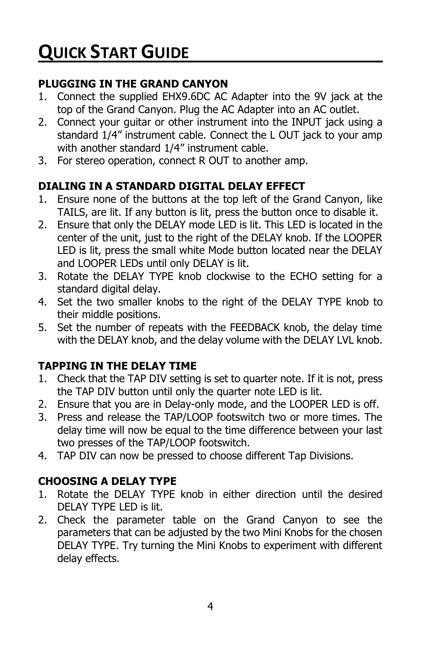### **PLUGGING IN THE GRAND CANYON**

- 1. Connect the supplied EHX9.6DC AC Adapter into the 9V jack at the top of the Grand Canyon. Plug the AC Adapter into an AC outlet.
- 2. Connect your guitar or other instrument into the INPUT jack using a standard 1/4" instrument cable. Connect the L OUT jack to your amp with another standard 1/4" instrument cable.
- 3. For stereo operation, connect R OUT to another amp.

# **DIALING IN A STANDARD DIGITAL DELAY EFFECT**

- 1. Ensure none of the buttons at the top left of the Grand Canyon, like TAILS, are lit. If any button is lit, press the button once to disable it.
- 2. Ensure that only the DELAY mode LED is lit. This LED is located in the center of the unit, just to the right of the DELAY knob. If the LOOPER LED is lit, press the small white Mode button located near the DELAY and LOOPER LEDs until only DELAY is lit.
- 3. Rotate the DELAY TYPE knob clockwise to the ECHO setting for a standard digital delay.
- 4. Set the two smaller knobs to the right of the DELAY TYPE knob to their middle positions.
- 5. Set the number of repeats with the FEEDBACK knob, the delay time with the DELAY knob, and the delay volume with the DELAY LVL knob.

# **TAPPING IN THE DELAY TIME**

- 1. Check that the TAP DIV setting is set to quarter note. If it is not, press the TAP DIV button until only the quarter note LED is lit.
- 2. Ensure that you are in Delay-only mode, and the LOOPER LED is off.
- 3. Press and release the TAP/LOOP footswitch two or more times. The delay time will now be equal to the time difference between your last two presses of the TAP/LOOP footswitch.
- 4. TAP DIV can now be pressed to choose different Tap Divisions.

### **CHOOSING A DELAY TYPE**

- 1. Rotate the DELAY TYPE knob in either direction until the desired DELAY TYPE LED is lit.
- 2. Check the parameter table on the Grand Canyon to see the parameters that can be adjusted by the two Mini Knobs for the chosen DELAY TYPE. Try turning the Mini Knobs to experiment with different delay effects.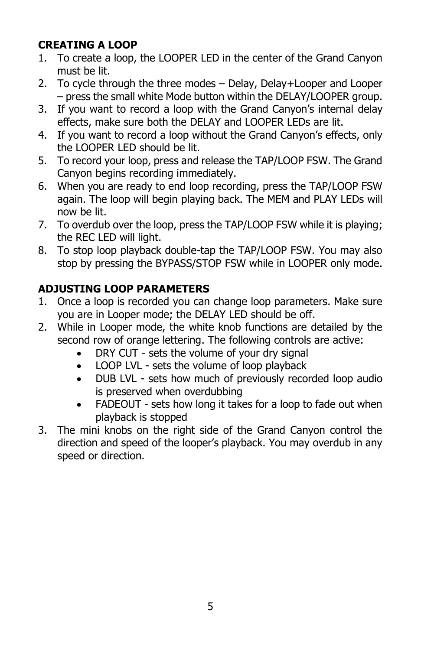# **CREATING A LOOP**

- 1. To create a loop, the LOOPER LED in the center of the Grand Canyon must be lit.
- 2. To cycle through the three modes Delay, Delay+Looper and Looper – press the small white Mode button within the DELAY/LOOPER group.
- 3. If you want to record a loop with the Grand Canyon's internal delay effects, make sure both the DELAY and LOOPER LEDs are lit.
- 4. If you want to record a loop without the Grand Canyon's effects, only the LOOPER LED should be lit.
- 5. To record your loop, press and release the TAP/LOOP FSW. The Grand Canyon begins recording immediately.
- 6. When you are ready to end loop recording, press the TAP/LOOP FSW again. The loop will begin playing back. The MEM and PLAY LEDs will now be lit.
- 7. To overdub over the loop, press the TAP/LOOP FSW while it is playing; the REC LED will light.
- 8. To stop loop playback double-tap the TAP/LOOP FSW. You may also stop by pressing the BYPASS/STOP FSW while in LOOPER only mode.

# **ADJUSTING LOOP PARAMETERS**

- 1. Once a loop is recorded you can change loop parameters. Make sure you are in Looper mode; the DELAY LED should be off.
- 2. While in Looper mode, the white knob functions are detailed by the second row of orange lettering. The following controls are active:
	- DRY CUT sets the volume of your dry signal
	- LOOP LVL sets the volume of loop playback
	- DUB LVL sets how much of previously recorded loop audio is preserved when overdubbing
	- FADEOUT sets how long it takes for a loop to fade out when playback is stopped
- 3. The mini knobs on the right side of the Grand Canyon control the direction and speed of the looper's playback. You may overdub in any speed or direction.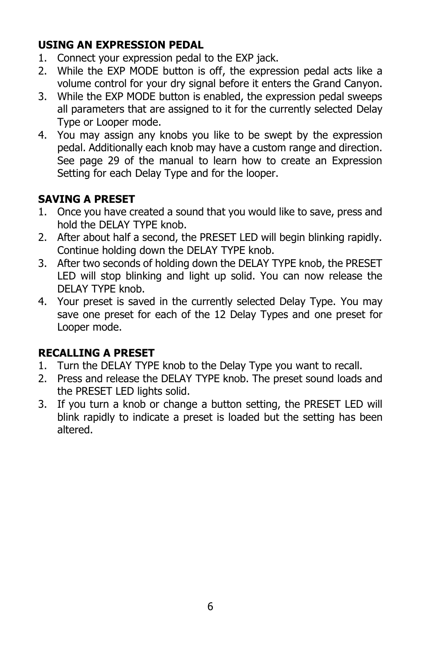# **USING AN EXPRESSION PEDAL**

- 1. Connect your expression pedal to the EXP jack.
- 2. While the EXP MODE button is off, the expression pedal acts like a volume control for your dry signal before it enters the Grand Canyon.
- 3. While the EXP MODE button is enabled, the expression pedal sweeps all parameters that are assigned to it for the currently selected Delay Type or Looper mode.
- 4. You may assign any knobs you like to be swept by the expression pedal. Additionally each knob may have a custom range and direction. See page 29 of the manual to learn how to create an Expression Setting for each Delay Type and for the looper.

# **SAVING A PRESET**

- 1. Once you have created a sound that you would like to save, press and hold the DELAY TYPE knob.
- 2. After about half a second, the PRESET LED will begin blinking rapidly. Continue holding down the DELAY TYPE knob.
- 3. After two seconds of holding down the DELAY TYPE knob, the PRESET LED will stop blinking and light up solid. You can now release the DELAY TYPE knob.
- 4. Your preset is saved in the currently selected Delay Type. You may save one preset for each of the 12 Delay Types and one preset for Looper mode.

### **RECALLING A PRESET**

- 1. Turn the DELAY TYPE knob to the Delay Type you want to recall.
- 2. Press and release the DELAY TYPE knob. The preset sound loads and the PRESET LED lights solid.
- 3. If you turn a knob or change a button setting, the PRESET LED will blink rapidly to indicate a preset is loaded but the setting has been altered.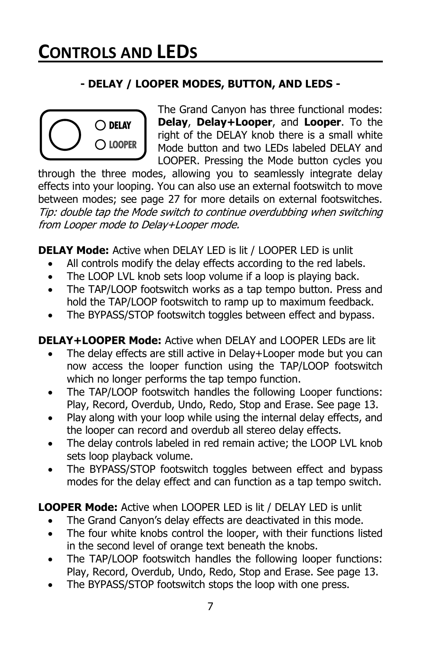# **- DELAY / LOOPER MODES, BUTTON, AND LEDS -**



The Grand Canyon has three functional modes: **Delay**, **Delay+Looper**, and **Looper**. To the right of the DELAY knob there is a small white Mode button and two LEDs labeled DELAY and LOOPER. Pressing the Mode button cycles you

through the three modes, allowing you to seamlessly integrate delay effects into your looping. You can also use an external footswitch to move between modes; see page 27 for more details on external footswitches. Tip: double tap the Mode switch to continue overdubbing when switching from Looper mode to Delay+Looper mode.

**DELAY Mode:** Active when DELAY LED is lit / LOOPER LED is unlit

- All controls modify the delay effects according to the red labels.
- The LOOP LVL knob sets loop volume if a loop is playing back.
- The TAP/LOOP footswitch works as a tap tempo button. Press and hold the TAP/LOOP footswitch to ramp up to maximum feedback.
- The BYPASS/STOP footswitch toggles between effect and bypass.

**DELAY+LOOPER Mode:** Active when DELAY and LOOPER LEDs are lit

- The delay effects are still active in Delay+Looper mode but you can now access the looper function using the TAP/LOOP footswitch which no longer performs the tap tempo function.
- The TAP/LOOP footswitch handles the following Looper functions: Play, Record, Overdub, Undo, Redo, Stop and Erase. See page 13.
- Play along with your loop while using the internal delay effects, and the looper can record and overdub all stereo delay effects.
- The delay controls labeled in red remain active; the LOOP LVL knob sets loop playback volume.
- The BYPASS/STOP footswitch toggles between effect and bypass modes for the delay effect and can function as a tap tempo switch.

**LOOPER Mode:** Active when LOOPER LED is lit / DELAY LED is unlit

- The Grand Canyon's delay effects are deactivated in this mode.
- The four white knobs control the looper, with their functions listed in the second level of orange text beneath the knobs.
- The TAP/LOOP footswitch handles the following looper functions: Play, Record, Overdub, Undo, Redo, Stop and Erase. See page 13.
- The BYPASS/STOP footswitch stops the loop with one press.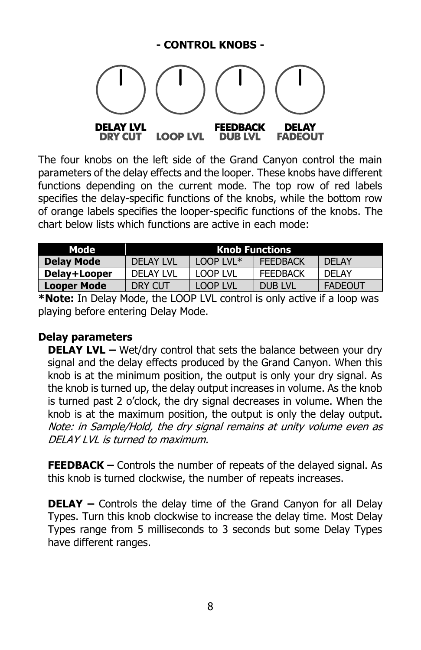#### **- CONTROL KNOBS -**



The four knobs on the left side of the Grand Canyon control the main parameters of the delay effects and the looper. These knobs have different functions depending on the current mode. The top row of red labels specifies the delay-specific functions of the knobs, while the bottom row of orange labels specifies the looper-specific functions of the knobs. The chart below lists which functions are active in each mode:

| Mode              | <b>Knob Functions</b> |             |                 |                |  |  |  |  |
|-------------------|-----------------------|-------------|-----------------|----------------|--|--|--|--|
| <b>Delay Mode</b> | DELAY LVL             | $100P$ LVL* | <b>FEEDBACK</b> | <b>DELAY</b>   |  |  |  |  |
| Delay+Looper      | DELAY LVL             | LOOP LVL    | <b>FEEDBACK</b> | DFI AY         |  |  |  |  |
| Looper Mode       | DRY CUT               | LOOP LVL    | DUB LVL         | <b>FADEOUT</b> |  |  |  |  |

**\*Note:** In Delay Mode, the LOOP LVL control is only active if a loop was playing before entering Delay Mode.

#### **Delay parameters**

**DELAY LVL –** Wet/dry control that sets the balance between your dry signal and the delay effects produced by the Grand Canyon. When this knob is at the minimum position, the output is only your dry signal. As the knob is turned up, the delay output increases in volume. As the knob is turned past 2 o'clock, the dry signal decreases in volume. When the knob is at the maximum position, the output is only the delay output. Note: in Sample/Hold, the dry signal remains at unity volume even as DELAY LVL is turned to maximum.

**FEEDBACK –** Controls the number of repeats of the delayed signal. As this knob is turned clockwise, the number of repeats increases.

**DELAY –** Controls the delay time of the Grand Canyon for all Delay Types. Turn this knob clockwise to increase the delay time. Most Delay Types range from 5 milliseconds to 3 seconds but some Delay Types have different ranges.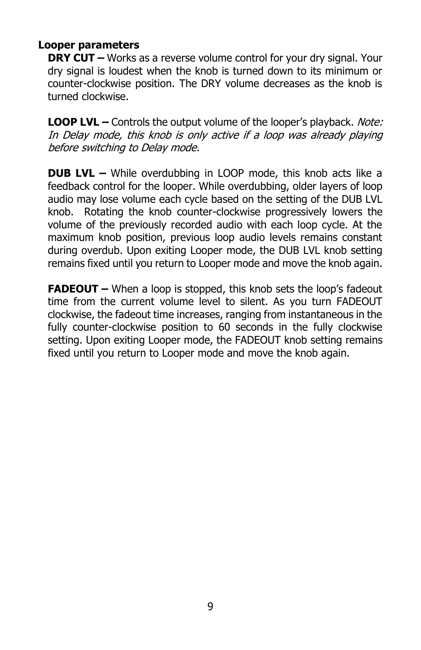### **Looper parameters**

**DRY CUT** – Works as a reverse volume control for your dry signal. Your dry signal is loudest when the knob is turned down to its minimum or counter-clockwise position. The DRY volume decreases as the knob is turned clockwise.

**LOOP LVL –** Controls the output volume of the looper's playback. Note: In Delay mode, this knob is only active if a loop was already playing before switching to Delay mode.

**DUB LVL –** While overdubbing in LOOP mode, this knob acts like a feedback control for the looper. While overdubbing, older layers of loop audio may lose volume each cycle based on the setting of the DUB LVL knob. Rotating the knob counter-clockwise progressively lowers the volume of the previously recorded audio with each loop cycle. At the maximum knob position, previous loop audio levels remains constant during overdub. Upon exiting Looper mode, the DUB LVL knob setting remains fixed until you return to Looper mode and move the knob again.

**FADEOUT –** When a loop is stopped, this knob sets the loop's fadeout time from the current volume level to silent. As you turn FADEOUT clockwise, the fadeout time increases, ranging from instantaneous in the fully counter-clockwise position to 60 seconds in the fully clockwise setting. Upon exiting Looper mode, the FADEOUT knob setting remains fixed until you return to Looper mode and move the knob again.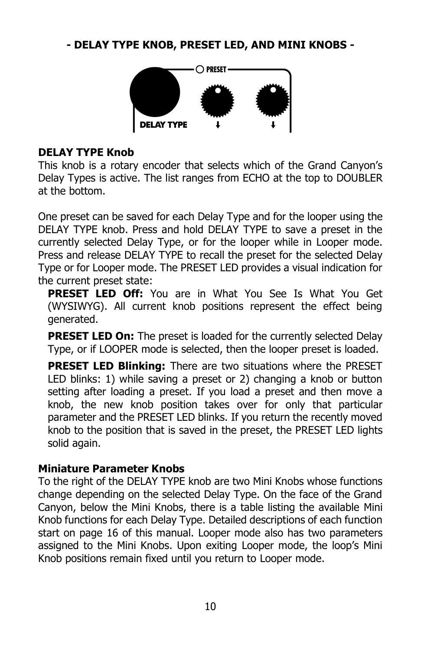### **- DELAY TYPE KNOB, PRESET LED, AND MINI KNOBS -**



#### **DELAY TYPE Knob**

This knob is a rotary encoder that selects which of the Grand Canyon's Delay Types is active. The list ranges from ECHO at the top to DOUBLER at the bottom.

One preset can be saved for each Delay Type and for the looper using the DELAY TYPE knob. Press and hold DELAY TYPE to save a preset in the currently selected Delay Type, or for the looper while in Looper mode. Press and release DELAY TYPE to recall the preset for the selected Delay Type or for Looper mode. The PRESET LED provides a visual indication for the current preset state:

**PRESET LED Off:** You are in What You See Is What You Get (WYSIWYG). All current knob positions represent the effect being generated.

**PRESET LED On:** The preset is loaded for the currently selected Delay Type, or if LOOPER mode is selected, then the looper preset is loaded.

**PRESET LED Blinking:** There are two situations where the PRESET LED blinks: 1) while saving a preset or 2) changing a knob or button setting after loading a preset. If you load a preset and then move a knob, the new knob position takes over for only that particular parameter and the PRESET LED blinks. If you return the recently moved knob to the position that is saved in the preset, the PRESET LED lights solid again.

#### **Miniature Parameter Knobs**

To the right of the DELAY TYPE knob are two Mini Knobs whose functions change depending on the selected Delay Type. On the face of the Grand Canyon, below the Mini Knobs, there is a table listing the available Mini Knob functions for each Delay Type. Detailed descriptions of each function start on page 16 of this manual. Looper mode also has two parameters assigned to the Mini Knobs. Upon exiting Looper mode, the loop's Mini Knob positions remain fixed until you return to Looper mode.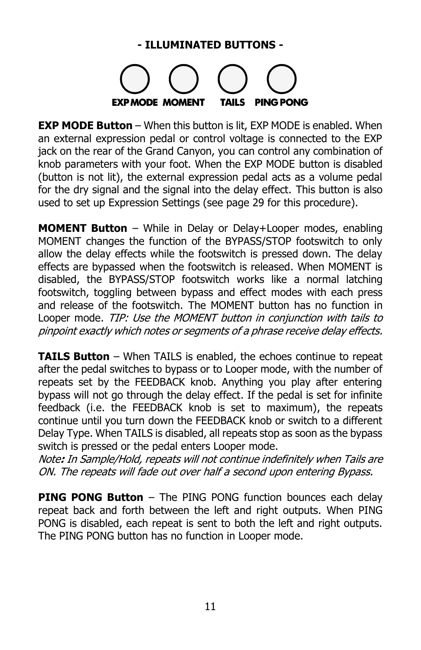### **- ILLUMINATED BUTTONS -**



**EXP MODE Button** - When this button is lit, EXP MODE is enabled. When an external expression pedal or control voltage is connected to the EXP jack on the rear of the Grand Canyon, you can control any combination of knob parameters with your foot. When the EXP MODE button is disabled (button is not lit), the external expression pedal acts as a volume pedal for the dry signal and the signal into the delay effect. This button is also used to set up Expression Settings (see page 29 for this procedure).

**MOMENT Button** – While in Delay or Delay+Looper modes, enabling MOMENT changes the function of the BYPASS/STOP footswitch to only allow the delay effects while the footswitch is pressed down. The delay effects are bypassed when the footswitch is released. When MOMENT is disabled, the BYPASS/STOP footswitch works like a normal latching footswitch, toggling between bypass and effect modes with each press and release of the footswitch. The MOMENT button has no function in Looper mode. TIP: Use the MOMENT button in conjunction with tails to pinpoint exactly which notes or segments of a phrase receive delay effects.

**TAILS Button** – When TAILS is enabled, the echoes continue to repeat after the pedal switches to bypass or to Looper mode, with the number of repeats set by the FEEDBACK knob. Anything you play after entering bypass will not go through the delay effect. If the pedal is set for infinite feedback (i.e. the FEEDBACK knob is set to maximum), the repeats continue until you turn down the FEEDBACK knob or switch to a different Delay Type. When TAILS is disabled, all repeats stop as soon as the bypass switch is pressed or the pedal enters Looper mode.

Note**:** In Sample/Hold, repeats will not continue indefinitely when Tails are ON. The repeats will fade out over half a second upon entering Bypass.

**PING PONG Button** – The PING PONG function bounces each delay repeat back and forth between the left and right outputs. When PING PONG is disabled, each repeat is sent to both the left and right outputs. The PING PONG button has no function in Looper mode.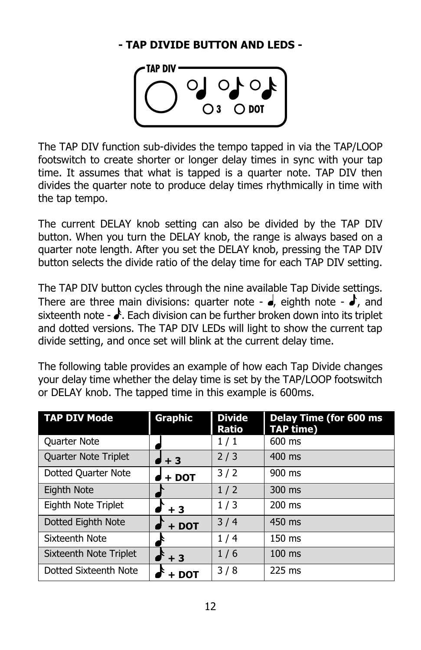### **- TAP DIVIDE BUTTON AND LEDS -**



The TAP DIV function sub-divides the tempo tapped in via the TAP/LOOP footswitch to create shorter or longer delay times in sync with your tap time. It assumes that what is tapped is a quarter note. TAP DIV then divides the quarter note to produce delay times rhythmically in time with the tap tempo.

The current DELAY knob setting can also be divided by the TAP DIV button. When you turn the DELAY knob, the range is always based on a quarter note length. After you set the DELAY knob, pressing the TAP DIV button selects the divide ratio of the delay time for each TAP DIV setting.

The TAP DIV button cycles through the nine available Tap Divide settings. There are three main divisions: quarter note -  $\bullet$ , eighth note -  $\bullet$ , and sixteenth note -  $\clubsuit$ . Each division can be further broken down into its triplet and dotted versions. The TAP DIV LEDs will light to show the current tap divide setting, and once set will blink at the current delay time.

The following table provides an example of how each Tap Divide changes your delay time whether the delay time is set by the TAP/LOOP footswitch or DELAY knob. The tapped time in this example is 600ms.

| <b>TAP DIV Mode</b>    | Graphic          | <b>Divide</b><br><b>Ratio</b> | <b>Delay Time (for 600 ms)</b><br><b>TAP time)</b> |
|------------------------|------------------|-------------------------------|----------------------------------------------------|
| <b>Quarter Note</b>    |                  | 1/1                           | 600 ms                                             |
| Quarter Note Triplet   | ≸ + 3            | 2/3                           | $400$ ms                                           |
| Dotted Quarter Note    | + DOT            | 3/2                           | 900 ms                                             |
| Eighth Note            |                  | 1/2                           | $300$ ms                                           |
| Eighth Note Triplet    | $\mathbf{r}$ + 3 | 1/3                           | $200$ ms                                           |
| Dotted Eighth Note     | $+$ DOT          | 3/4                           | 450 ms                                             |
| Sixteenth Note         |                  | 1/4                           | $150 \text{ ms}$                                   |
| Sixteenth Note Triplet | $\mathbf{f}$ + 3 | 1/6                           | $100$ ms                                           |
| Dotted Sixteenth Note  | + DOT            | 3/8                           | 225 ms                                             |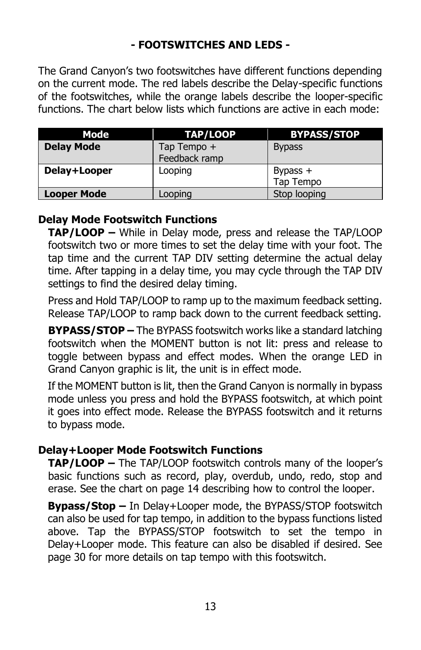### **- FOOTSWITCHES AND LEDS -**

The Grand Canyon's two footswitches have different functions depending on the current mode. The red labels describe the Delay-specific functions of the footswitches, while the orange labels describe the looper-specific functions. The chart below lists which functions are active in each mode:

| Mode               | TAP/LOOP                     | <b>BYPASS/STOP</b>      |
|--------------------|------------------------------|-------------------------|
| <b>Delay Mode</b>  | Tap Tempo +<br>Feedback ramp | <b>Bypass</b>           |
| Delay+Looper       | Looping                      | Bypass $+$<br>Tap Tempo |
| <b>Looper Mode</b> | Looping                      | Stop looping            |

### **Delay Mode Footswitch Functions**

**TAP/LOOP –** While in Delay mode, press and release the TAP/LOOP footswitch two or more times to set the delay time with your foot. The tap time and the current TAP DIV setting determine the actual delay time. After tapping in a delay time, you may cycle through the TAP DIV settings to find the desired delay timing.

Press and Hold TAP/LOOP to ramp up to the maximum feedback setting. Release TAP/LOOP to ramp back down to the current feedback setting.

**BYPASS/STOP –** The BYPASS footswitch works like a standard latching footswitch when the MOMENT button is not lit: press and release to toggle between bypass and effect modes. When the orange LED in Grand Canyon graphic is lit, the unit is in effect mode.

If the MOMENT button is lit, then the Grand Canyon is normally in bypass mode unless you press and hold the BYPASS footswitch, at which point it goes into effect mode. Release the BYPASS footswitch and it returns to bypass mode.

#### **Delay+Looper Mode Footswitch Functions**

**TAP/LOOP –** The TAP/LOOP footswitch controls many of the looper's basic functions such as record, play, overdub, undo, redo, stop and erase. See the chart on page 14 describing how to control the looper.

**Bypass/Stop –** In Delay+Looper mode, the BYPASS/STOP footswitch can also be used for tap tempo, in addition to the bypass functions listed above. Tap the BYPASS/STOP footswitch to set the tempo in Delay+Looper mode. This feature can also be disabled if desired. See page 30 for more details on tap tempo with this footswitch.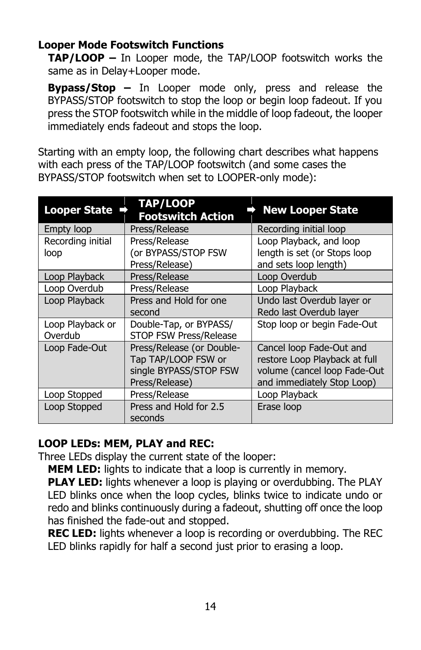### **Looper Mode Footswitch Functions**

**TAP/LOOP –** In Looper mode, the TAP/LOOP footswitch works the same as in Delay+Looper mode.

**Bypass/Stop –** In Looper mode only, press and release the BYPASS/STOP footswitch to stop the loop or begin loop fadeout. If you press the STOP footswitch while in the middle of loop fadeout, the looper immediately ends fadeout and stops the loop.

Starting with an empty loop, the following chart describes what happens with each press of the TAP/LOOP footswitch (and some cases the BYPASS/STOP footswitch when set to LOOPER-only mode):

| <b>Looper State</b> | <b>TAP/LOOP</b><br><b>Footswitch Action</b> | <b>New Looper State</b>       |
|---------------------|---------------------------------------------|-------------------------------|
| Empty loop          | Press/Release                               | Recording initial loop        |
| Recording initial   | Press/Release                               | Loop Playback, and loop       |
| loop                | (or BYPASS/STOP FSW                         | length is set (or Stops loop  |
|                     | Press/Release)                              | and sets loop length)         |
| Loop Playback       | Press/Release                               | Loop Overdub                  |
| Loop Overdub        | Press/Release                               | Loop Playback                 |
| Loop Playback       | Press and Hold for one                      | Undo last Overdub layer or    |
|                     | second                                      | Redo last Overdub layer       |
| Loop Playback or    | Double-Tap, or BYPASS/                      | Stop loop or begin Fade-Out   |
| Overdub             | <b>STOP FSW Press/Release</b>               |                               |
| Loop Fade-Out       | Press/Release (or Double-                   | Cancel loop Fade-Out and      |
|                     | Tap TAP/LOOP FSW or                         | restore Loop Playback at full |
|                     | single BYPASS/STOP FSW                      | volume (cancel loop Fade-Out  |
|                     | Press/Release)                              | and immediately Stop Loop)    |
| Loop Stopped        | Press/Release                               | Loop Playback                 |
| Loop Stopped        | Press and Hold for 2.5<br>seconds           | Erase loop                    |

#### **LOOP LEDs: MEM, PLAY and REC:**

Three LEDs display the current state of the looper:

**MEM LED:** lights to indicate that a loop is currently in memory.

**PLAY LED:** lights whenever a loop is playing or overdubbing. The PLAY LED blinks once when the loop cycles, blinks twice to indicate undo or redo and blinks continuously during a fadeout, shutting off once the loop has finished the fade-out and stopped.

**REC LED:** lights whenever a loop is recording or overdubbing. The REC LED blinks rapidly for half a second just prior to erasing a loop.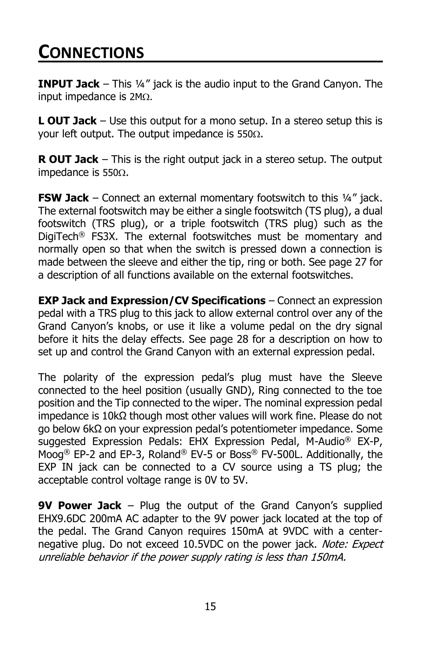# **CONNECTIONS**

**INPUT Jack** – This 14" jack is the audio input to the Grand Canyon. The input impedance is  $2M<sub>\Omega</sub>$ .

**L OUT Jack** – Use this output for a mono setup. In a stereo setup this is your left output. The output impedance is  $550\Omega$ .

**R OUT Jack** – This is the right output jack in a stereo setup. The output impedance is  $550\Omega$ .

**FSW Jack** – Connect an external momentary footswitch to this 1/4" jack. The external footswitch may be either a single footswitch (TS plug), a dual footswitch (TRS plug), or a triple footswitch (TRS plug) such as the DigiTech® FS3X. The external footswitches must be momentary and normally open so that when the switch is pressed down a connection is made between the sleeve and either the tip, ring or both. See page 27 for a description of all functions available on the external footswitches.

**EXP Jack and Expression/CV Specifications** – Connect an expression pedal with a TRS plug to this jack to allow external control over any of the Grand Canyon's knobs, or use it like a volume pedal on the dry signal before it hits the delay effects. See page 28 for a description on how to set up and control the Grand Canyon with an external expression pedal.

The polarity of the expression pedal's plug must have the Sleeve connected to the heel position (usually GND), Ring connected to the toe position and the Tip connected to the wiper. The nominal expression pedal impedance is 10kΩ though most other values will work fine. Please do not go below 6kΩ on your expression pedal's potentiometer impedance. Some suggested Expression Pedals: EHX Expression Pedal, M-Audio® EX-P, Moog® EP-2 and EP-3, Roland® EV-5 or Boss® FV-500L. Additionally, the EXP IN jack can be connected to a CV source using a TS plug; the acceptable control voltage range is 0V to 5V.

**9V Power Jack** – Plug the output of the Grand Canyon's supplied EHX9.6DC 200mA AC adapter to the 9V power jack located at the top of the pedal. The Grand Canyon requires 150mA at 9VDC with a centernegative plug. Do not exceed 10.5VDC on the power jack. Note: Expect unreliable behavior if the power supply rating is less than 150mA.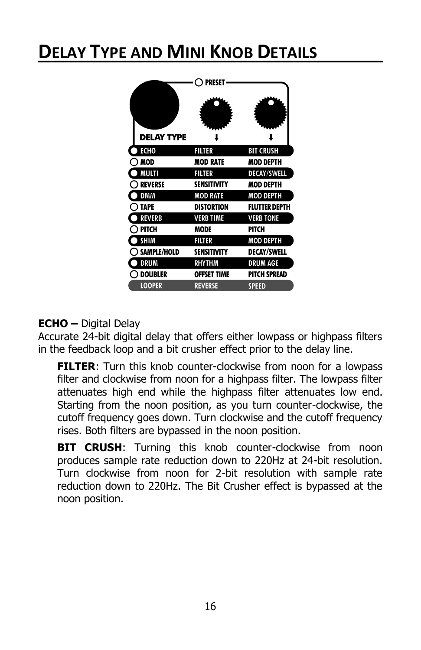# **DELAY TYPE AND MINI KNOB DETAILS**

|                | PRESET             |                      |
|----------------|--------------------|----------------------|
| delay type     |                    |                      |
| ECHO           | <b>FILTER</b>      | <b>BIT CRUSH</b>     |
| MOD            | <b>MOD RATE</b>    | MOD DEPTH            |
| MULTI          | <b>FILTER</b>      | <b>DECAY/SWELL</b>   |
| <b>REVERSE</b> | <b>SENSITIVITY</b> | MOD DEPTH            |
| <b>DMM</b>     | <b>MOD RATE</b>    | <b>MOD DEPTH</b>     |
| <b>TAPE</b>    | <b>DISTORTION</b>  | <b>FLUTTER DEPTH</b> |
| REVERB         | <b>VERB TIME</b>   | <b>VERB TONE</b>     |
| <b>PITCH</b>   | MODE               | PITCH                |
| SHIM           | <b>FILTER</b>      | <b>MOD DEPTH</b>     |
| SAMPLE/HOLD    | <b>SENSITIVITY</b> | <b>DECAY/SWELL</b>   |
| <b>DRUM</b>    | <b>RHYTHM</b>      | <b>DRUM AGE</b>      |
| <b>DOUBLER</b> | offset time        | <b>PITCH SPREAD</b>  |
| <b>LOOPER</b>  | <b>REVERSE</b>     | <b>SPEED</b>         |

# **ECHO –** Digital Delay

Accurate 24-bit digital delay that offers either lowpass or highpass filters in the feedback loop and a bit crusher effect prior to the delay line.

**FILTER:** Turn this knob counter-clockwise from noon for a lowpass filter and clockwise from noon for a highpass filter. The lowpass filter attenuates high end while the highpass filter attenuates low end. Starting from the noon position, as you turn counter-clockwise, the cutoff frequency goes down. Turn clockwise and the cutoff frequency rises. Both filters are bypassed in the noon position.

**BIT CRUSH:** Turning this knob counter-clockwise from noon produces sample rate reduction down to 220Hz at 24-bit resolution. Turn clockwise from noon for 2-bit resolution with sample rate reduction down to 220Hz. The Bit Crusher effect is bypassed at the noon position.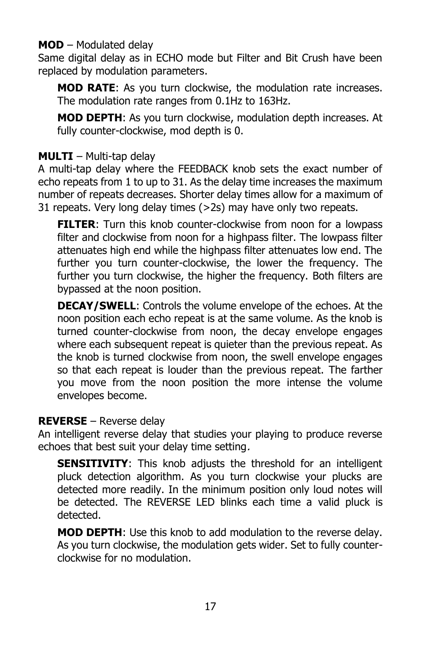### **MOD** – Modulated delay

Same digital delay as in ECHO mode but Filter and Bit Crush have been replaced by modulation parameters.

**MOD RATE**: As you turn clockwise, the modulation rate increases. The modulation rate ranges from 0.1Hz to 163Hz.

**MOD DEPTH**: As you turn clockwise, modulation depth increases. At fully counter-clockwise, mod depth is 0.

### **MULTI** – Multi-tap delay

A multi-tap delay where the FEEDBACK knob sets the exact number of echo repeats from 1 to up to 31. As the delay time increases the maximum number of repeats decreases. Shorter delay times allow for a maximum of 31 repeats. Very long delay times (>2s) may have only two repeats.

**FILTER:** Turn this knob counter-clockwise from noon for a lowpass filter and clockwise from noon for a highpass filter. The lowpass filter attenuates high end while the highpass filter attenuates low end. The further you turn counter-clockwise, the lower the frequency. The further you turn clockwise, the higher the frequency. Both filters are bypassed at the noon position.

**DECAY/SWELL**: Controls the volume envelope of the echoes. At the noon position each echo repeat is at the same volume. As the knob is turned counter-clockwise from noon, the decay envelope engages where each subsequent repeat is quieter than the previous repeat. As the knob is turned clockwise from noon, the swell envelope engages so that each repeat is louder than the previous repeat. The farther you move from the noon position the more intense the volume envelopes become.

#### **REVERSE** – Reverse delay

An intelligent reverse delay that studies your playing to produce reverse echoes that best suit your delay time setting.

**SENSITIVITY:** This knob adjusts the threshold for an intelligent pluck detection algorithm. As you turn clockwise your plucks are detected more readily. In the minimum position only loud notes will be detected. The REVERSE LED blinks each time a valid pluck is detected.

**MOD DEPTH**: Use this knob to add modulation to the reverse delay. As you turn clockwise, the modulation gets wider. Set to fully counterclockwise for no modulation.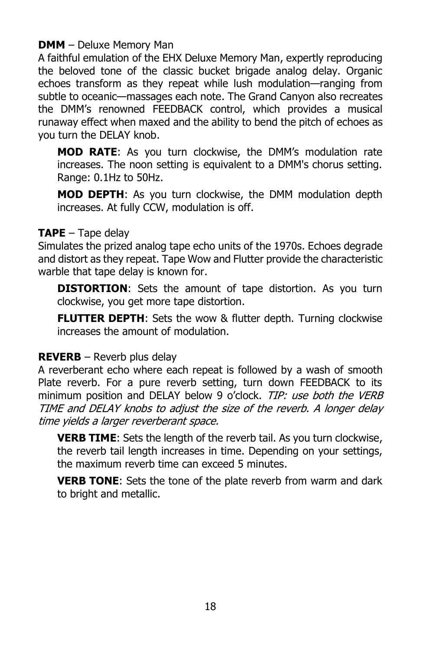#### **DMM** – Deluxe Memory Man

A faithful emulation of the EHX Deluxe Memory Man, expertly reproducing the beloved tone of the classic bucket brigade analog delay. Organic echoes transform as they repeat while lush modulation—ranging from subtle to oceanic—massages each note. The Grand Canyon also recreates the DMM's renowned FEEDBACK control, which provides a musical runaway effect when maxed and the ability to bend the pitch of echoes as you turn the DELAY knob.

**MOD RATE**: As you turn clockwise, the DMM's modulation rate increases. The noon setting is equivalent to a DMM's chorus setting. Range: 0.1Hz to 50Hz.

**MOD DEPTH**: As you turn clockwise, the DMM modulation depth increases. At fully CCW, modulation is off.

#### **TAPE** – Tape delay

Simulates the prized analog tape echo units of the 1970s. Echoes degrade and distort as they repeat. Tape Wow and Flutter provide the characteristic warble that tape delay is known for.

**DISTORTION:** Sets the amount of tape distortion. As you turn clockwise, you get more tape distortion.

**FLUTTER DEPTH:** Sets the wow & flutter depth. Turning clockwise increases the amount of modulation.

### **REVERB** – Reverb plus delay

A reverberant echo where each repeat is followed by a wash of smooth Plate reverb. For a pure reverb setting, turn down FEEDBACK to its minimum position and DELAY below 9 o'clock. TIP: use both the VERB TIME and DELAY knobs to adjust the size of the reverb. A longer delay time yields a larger reverberant space.

**VERB TIME**: Sets the length of the reverb tail. As you turn clockwise, the reverb tail length increases in time. Depending on your settings, the maximum reverb time can exceed 5 minutes.

**VERB TONE**: Sets the tone of the plate reverb from warm and dark to bright and metallic.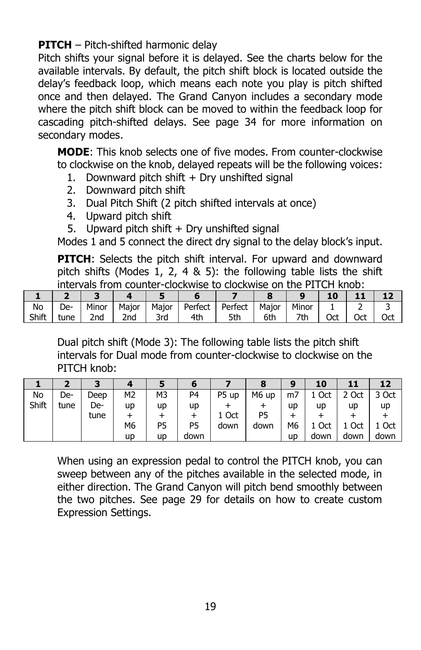**PITCH** – Pitch-shifted harmonic delay

Pitch shifts your signal before it is delayed. See the charts below for the available intervals. By default, the pitch shift block is located outside the delay's feedback loop, which means each note you play is pitch shifted once and then delayed. The Grand Canyon includes a secondary mode where the pitch shift block can be moved to within the feedback loop for cascading pitch-shifted delays. See page 34 for more information on secondary modes.

**MODE**: This knob selects one of five modes. From counter-clockwise to clockwise on the knob, delayed repeats will be the following voices:

- 1. Downward pitch shift  $+$  Dry unshifted signal
- 2. Downward pitch shift
- 3. Dual Pitch Shift (2 pitch shifted intervals at once)
- 4. Upward pitch shift
- 5. Upward pitch shift + Dry unshifted signal

Modes 1 and 5 connect the direct dry signal to the delay block's input.

**PITCH**: Selects the pitch shift interval. For upward and downward pitch shifts (Modes 1, 2, 4 & 5): the following table lists the shift intervals from counter-clockwise to clockwise on the PITCH knob:

| No    | De-  | Minor | Major           | Major    | Perfect | Perfect | Maior | Minor |     |     |     |
|-------|------|-------|-----------------|----------|---------|---------|-------|-------|-----|-----|-----|
| Shift | tune | 2nd   | 2 <sub>nd</sub> | 3rd<br>u | 4th     | 5th     | 6th   | 7th   | Oct | Oct | Oct |

Dual pitch shift (Mode 3): The following table lists the pitch shift intervals for Dual mode from counter-clockwise to clockwise on the PITCH knob:

|       |      | З    |                |    |                |       |       | g              | 10   | 11    | 12    |
|-------|------|------|----------------|----|----------------|-------|-------|----------------|------|-------|-------|
| No    | De-  | Deep | M <sub>2</sub> | M3 | P <sub>4</sub> | P5 up | M6 up | m <sub>7</sub> | Oct  | 2 Oct | 3 Oct |
| Shift | tune | De-  | up             | up | up             |       |       | up             | up   | up    | up    |
|       |      | tune |                |    |                | 1 Oct | P5    |                |      |       |       |
|       |      |      | M6             | P5 | P <sub>5</sub> | down  | down  | М6             | Oct  | Oct   | 1 Oct |
|       |      |      | up             | up | down           |       |       | up             | down | down  | down  |

When using an expression pedal to control the PITCH knob, you can sweep between any of the pitches available in the selected mode, in either direction. The Grand Canyon will pitch bend smoothly between the two pitches. See page 29 for details on how to create custom Expression Settings.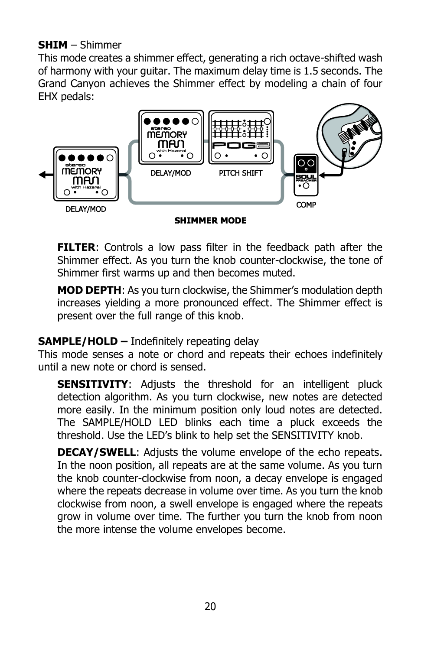### **SHIM** – Shimmer

This mode creates a shimmer effect, generating a rich octave-shifted wash of harmony with your guitar. The maximum delay time is 1.5 seconds. The Grand Canyon achieves the Shimmer effect by modeling a chain of four EHX pedals:



**FILTER:** Controls a low pass filter in the feedback path after the Shimmer effect. As you turn the knob counter-clockwise, the tone of Shimmer first warms up and then becomes muted.

**MOD DEPTH**: As you turn clockwise, the Shimmer's modulation depth increases yielding a more pronounced effect. The Shimmer effect is present over the full range of this knob.

### **SAMPLE/HOLD –** Indefinitely repeating delay

This mode senses a note or chord and repeats their echoes indefinitely until a new note or chord is sensed.

**SENSITIVITY:** Adjusts the threshold for an intelligent pluck detection algorithm. As you turn clockwise, new notes are detected more easily. In the minimum position only loud notes are detected. The SAMPLE/HOLD LED blinks each time a pluck exceeds the threshold. Use the LED's blink to help set the SENSITIVITY knob.

**DECAY/SWELL**: Adjusts the volume envelope of the echo repeats. In the noon position, all repeats are at the same volume. As you turn the knob counter-clockwise from noon, a decay envelope is engaged where the repeats decrease in volume over time. As you turn the knob clockwise from noon, a swell envelope is engaged where the repeats grow in volume over time. The further you turn the knob from noon the more intense the volume envelopes become.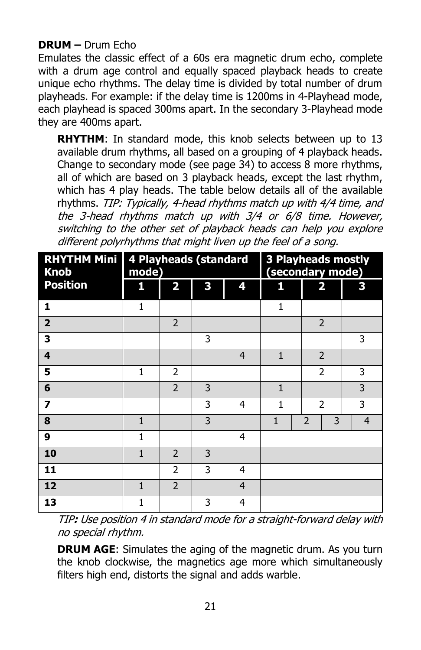### **DRUM –** Drum Echo

Emulates the classic effect of a 60s era magnetic drum echo, complete with a drum age control and equally spaced playback heads to create unique echo rhythms. The delay time is divided by total number of drum playheads. For example: if the delay time is 1200ms in 4-Playhead mode, each playhead is spaced 300ms apart. In the secondary 3-Playhead mode they are 400ms apart.

**RHYTHM**: In standard mode, this knob selects between up to 13 available drum rhythms, all based on a grouping of 4 playback heads. Change to secondary mode (see page 34) to access 8 more rhythms, all of which are based on 3 playback heads, except the last rhythm, which has 4 play heads. The table below details all of the available rhythms. TIP: Typically, 4-head rhythms match up with 4/4 time, and the 3-head rhythms match up with 3/4 or 6/8 time. However, switching to the other set of playback heads can help you explore different polyrhythms that might liven up the feel of a song.

| <b>RHYTHM Mini</b><br><b>Knob</b> | 4 Playheads (standard<br>mode) |                         |   |                | <b>3 Playheads mostly</b><br>(secondary mode) |                          |                |
|-----------------------------------|--------------------------------|-------------------------|---|----------------|-----------------------------------------------|--------------------------|----------------|
| <b>Position</b>                   | 1                              | $\overline{\mathbf{2}}$ | 3 | 4              | 1                                             | $\overline{\mathbf{2}}$  | 3              |
| 1                                 | 1                              |                         |   |                | 1                                             |                          |                |
| $\overline{2}$                    |                                | $\overline{2}$          |   |                |                                               | $\overline{\phantom{0}}$ |                |
| 3                                 |                                |                         | 3 |                |                                               |                          | 3              |
| $\overline{\mathbf{4}}$           |                                |                         |   | $\overline{4}$ | $\mathbf{1}$                                  | $\overline{2}$           |                |
| 5                                 | 1                              | $\overline{2}$          |   |                |                                               | $\overline{2}$           | 3              |
| 6                                 |                                | $\overline{2}$          | 3 |                | $\mathbf{1}$                                  |                          | 3              |
| 7                                 |                                |                         | 3 | 4              | 1                                             | $\overline{2}$           | 3              |
| 8                                 | 1                              |                         | 3 |                | 1                                             | $\overline{2}$<br>3      | $\overline{4}$ |
| 9                                 | 1                              |                         |   | 4              |                                               |                          |                |
| 10                                | $\mathbf{1}$                   | $\overline{2}$          | 3 |                |                                               |                          |                |
| 11                                |                                | $\overline{2}$          | 3 | 4              |                                               |                          |                |
| 12                                | 1                              | $\overline{2}$          |   | $\overline{4}$ |                                               |                          |                |
| 13                                | 1                              |                         | 3 | 4              |                                               |                          |                |

TIP**:** Use position 4 in standard mode for a straight-forward delay with no special rhythm.

**DRUM AGE:** Simulates the aging of the magnetic drum. As you turn the knob clockwise, the magnetics age more which simultaneously filters high end, distorts the signal and adds warble.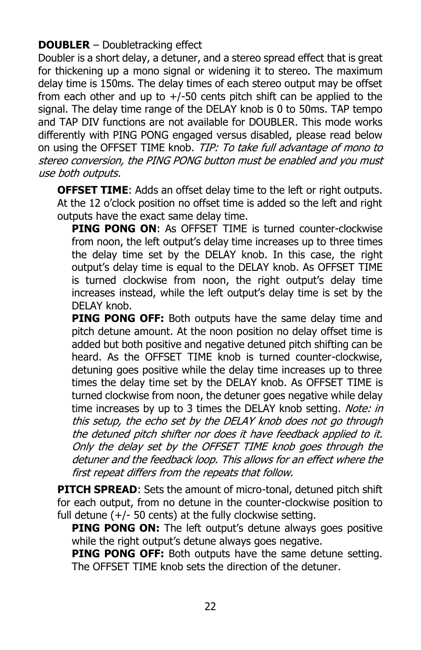### **DOUBLER** – Doubletracking effect

Doubler is a short delay, a detuner, and a stereo spread effect that is great for thickening up a mono signal or widening it to stereo. The maximum delay time is 150ms. The delay times of each stereo output may be offset from each other and up to  $+/-50$  cents pitch shift can be applied to the signal. The delay time range of the DELAY knob is 0 to 50ms. TAP tempo and TAP DIV functions are not available for DOUBLER. This mode works differently with PING PONG engaged versus disabled, please read below on using the OFFSET TIME knob. TIP: To take full advantage of mono to stereo conversion, the PING PONG button must be enabled and you must use both outputs.

**OFFSET TIME:** Adds an offset delay time to the left or right outputs. At the 12 o'clock position no offset time is added so the left and right outputs have the exact same delay time.

**PING PONG ON**: As OFFSET TIME is turned counter-clockwise from noon, the left output's delay time increases up to three times the delay time set by the DELAY knob. In this case, the right output's delay time is equal to the DELAY knob. As OFFSET TIME is turned clockwise from noon, the right output's delay time increases instead, while the left output's delay time is set by the DELAY knob.

**PING PONG OFF:** Both outputs have the same delay time and pitch detune amount. At the noon position no delay offset time is added but both positive and negative detuned pitch shifting can be heard. As the OFFSET TIME knob is turned counter-clockwise, detuning goes positive while the delay time increases up to three times the delay time set by the DELAY knob. As OFFSET TIME is turned clockwise from noon, the detuner goes negative while delay time increases by up to 3 times the DELAY knob setting. Note: in this setup, the echo set by the DELAY knob does not go through the detuned pitch shifter nor does it have feedback applied to it. Only the delay set by the OFFSET TIME knob goes through the detuner and the feedback loop. This allows for an effect where the first repeat differs from the repeats that follow.

**PITCH SPREAD:** Sets the amount of micro-tonal, detuned pitch shift for each output, from no detune in the counter-clockwise position to full detune  $(+/-50$  cents) at the fully clockwise setting.

**PING PONG ON:** The left output's detune always goes positive while the right output's detune always goes negative.

**PING PONG OFF:** Both outputs have the same detune setting. The OFFSET TIME knob sets the direction of the detuner.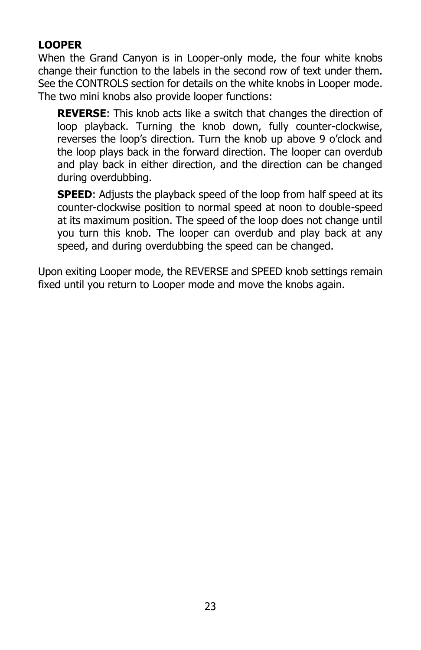# **LOOPER**

When the Grand Canyon is in Looper-only mode, the four white knobs change their function to the labels in the second row of text under them. See the CONTROLS section for details on the white knobs in Looper mode. The two mini knobs also provide looper functions:

**REVERSE**: This knob acts like a switch that changes the direction of loop playback. Turning the knob down, fully counter-clockwise, reverses the loop's direction. Turn the knob up above 9 o'clock and the loop plays back in the forward direction. The looper can overdub and play back in either direction, and the direction can be changed during overdubbing.

**SPEED:** Adjusts the playback speed of the loop from half speed at its counter-clockwise position to normal speed at noon to double-speed at its maximum position. The speed of the loop does not change until you turn this knob. The looper can overdub and play back at any speed, and during overdubbing the speed can be changed.

Upon exiting Looper mode, the REVERSE and SPEED knob settings remain fixed until you return to Looper mode and move the knobs again.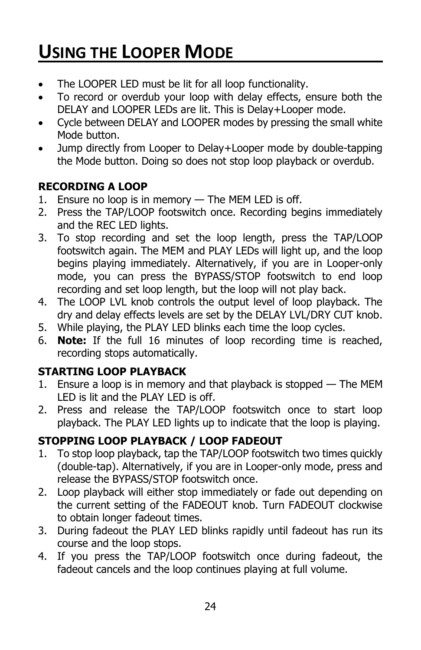# **USING THE LOOPER MODE**

- The LOOPER LED must be lit for all loop functionality.
- To record or overdub your loop with delay effects, ensure both the DELAY and LOOPER LEDs are lit. This is Delay+Looper mode.
- Cycle between DELAY and LOOPER modes by pressing the small white Mode button.
- Jump directly from Looper to Delay+Looper mode by double-tapping the Mode button. Doing so does not stop loop playback or overdub.

# **RECORDING A LOOP**

- 1. Ensure no loop is in memory The MEM LED is off.
- 2. Press the TAP/LOOP footswitch once. Recording begins immediately and the REC LED lights.
- 3. To stop recording and set the loop length, press the TAP/LOOP footswitch again. The MEM and PLAY LEDs will light up, and the loop begins playing immediately. Alternatively, if you are in Looper-only mode, you can press the BYPASS/STOP footswitch to end loop recording and set loop length, but the loop will not play back.
- 4. The LOOP LVL knob controls the output level of loop playback. The dry and delay effects levels are set by the DELAY LVL/DRY CUT knob.
- 5. While playing, the PLAY LED blinks each time the loop cycles.
- 6. **Note:** If the full 16 minutes of loop recording time is reached, recording stops automatically.

### **STARTING LOOP PLAYBACK**

- 1. Ensure a loop is in memory and that playback is stopped The MEM LED is lit and the PLAY LED is off.
- 2. Press and release the TAP/LOOP footswitch once to start loop playback. The PLAY LED lights up to indicate that the loop is playing.

### **STOPPING LOOP PLAYBACK / LOOP FADEOUT**

- 1. To stop loop playback, tap the TAP/LOOP footswitch two times quickly (double-tap). Alternatively, if you are in Looper-only mode, press and release the BYPASS/STOP footswitch once.
- 2. Loop playback will either stop immediately or fade out depending on the current setting of the FADEOUT knob. Turn FADEOUT clockwise to obtain longer fadeout times.
- 3. During fadeout the PLAY LED blinks rapidly until fadeout has run its course and the loop stops.
- 4. If you press the TAP/LOOP footswitch once during fadeout, the fadeout cancels and the loop continues playing at full volume.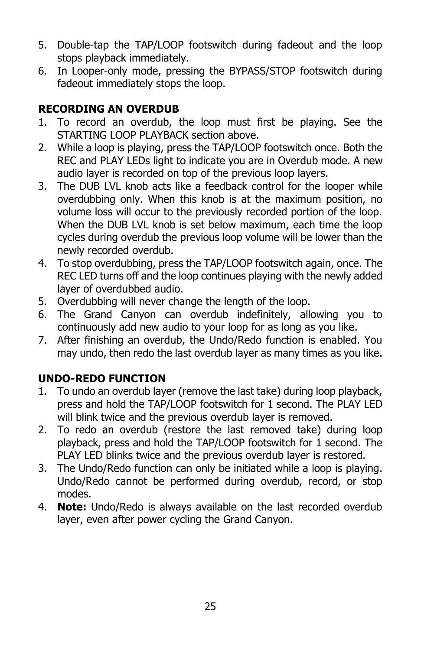- 5. Double-tap the TAP/LOOP footswitch during fadeout and the loop stops playback immediately.
- 6. In Looper-only mode, pressing the BYPASS/STOP footswitch during fadeout immediately stops the loop.

# **RECORDING AN OVERDUB**

- 1. To record an overdub, the loop must first be playing. See the STARTING LOOP PLAYBACK section above.
- 2. While a loop is playing, press the TAP/LOOP footswitch once. Both the REC and PLAY LEDs light to indicate you are in Overdub mode. A new audio layer is recorded on top of the previous loop layers.
- 3. The DUB LVL knob acts like a feedback control for the looper while overdubbing only. When this knob is at the maximum position, no volume loss will occur to the previously recorded portion of the loop. When the DUB LVL knob is set below maximum, each time the loop cycles during overdub the previous loop volume will be lower than the newly recorded overdub.
- 4. To stop overdubbing, press the TAP/LOOP footswitch again, once. The REC LED turns off and the loop continues playing with the newly added layer of overdubbed audio.
- 5. Overdubbing will never change the length of the loop.
- 6. The Grand Canyon can overdub indefinitely, allowing you to continuously add new audio to your loop for as long as you like.
- 7. After finishing an overdub, the Undo/Redo function is enabled. You may undo, then redo the last overdub layer as many times as you like.

# **UNDO-REDO FUNCTION**

- 1. To undo an overdub layer (remove the last take) during loop playback, press and hold the TAP/LOOP footswitch for 1 second. The PLAY LED will blink twice and the previous overdub layer is removed.
- 2. To redo an overdub (restore the last removed take) during loop playback, press and hold the TAP/LOOP footswitch for 1 second. The PLAY LED blinks twice and the previous overdub layer is restored.
- 3. The Undo/Redo function can only be initiated while a loop is playing. Undo/Redo cannot be performed during overdub, record, or stop modes.
- 4. **Note:** Undo/Redo is always available on the last recorded overdub layer, even after power cycling the Grand Canyon.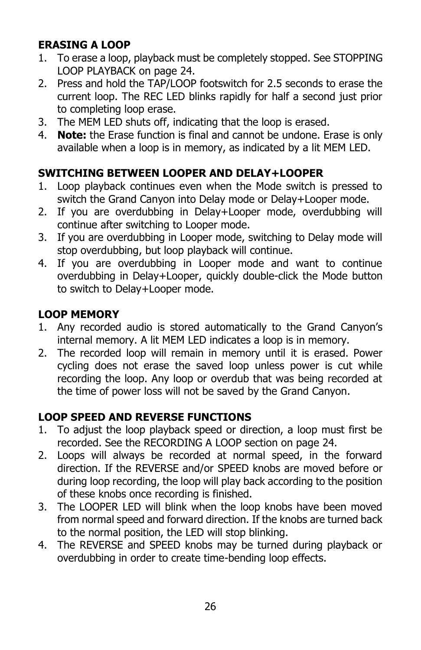# **ERASING A LOOP**

- 1. To erase a loop, playback must be completely stopped. See STOPPING LOOP PLAYBACK on page 24.
- 2. Press and hold the TAP/LOOP footswitch for 2.5 seconds to erase the current loop. The REC LED blinks rapidly for half a second just prior to completing loop erase.
- 3. The MEM LED shuts off, indicating that the loop is erased.
- 4. **Note:** the Erase function is final and cannot be undone. Erase is only available when a loop is in memory, as indicated by a lit MEM LED.

# **SWITCHING BETWEEN LOOPER AND DELAY+LOOPER**

- 1. Loop playback continues even when the Mode switch is pressed to switch the Grand Canyon into Delay mode or Delay+Looper mode.
- 2. If you are overdubbing in Delay+Looper mode, overdubbing will continue after switching to Looper mode.
- 3. If you are overdubbing in Looper mode, switching to Delay mode will stop overdubbing, but loop playback will continue.
- 4. If you are overdubbing in Looper mode and want to continue overdubbing in Delay+Looper, quickly double-click the Mode button to switch to Delay+Looper mode.

# **LOOP MEMORY**

- 1. Any recorded audio is stored automatically to the Grand Canyon's internal memory. A lit MEM LED indicates a loop is in memory.
- 2. The recorded loop will remain in memory until it is erased. Power cycling does not erase the saved loop unless power is cut while recording the loop. Any loop or overdub that was being recorded at the time of power loss will not be saved by the Grand Canyon.

### **LOOP SPEED AND REVERSE FUNCTIONS**

- 1. To adjust the loop playback speed or direction, a loop must first be recorded. See the RECORDING A LOOP section on page 24.
- 2. Loops will always be recorded at normal speed, in the forward direction. If the REVERSE and/or SPEED knobs are moved before or during loop recording, the loop will play back according to the position of these knobs once recording is finished.
- 3. The LOOPER LED will blink when the loop knobs have been moved from normal speed and forward direction. If the knobs are turned back to the normal position, the LED will stop blinking.
- 4. The REVERSE and SPEED knobs may be turned during playback or overdubbing in order to create time-bending loop effects.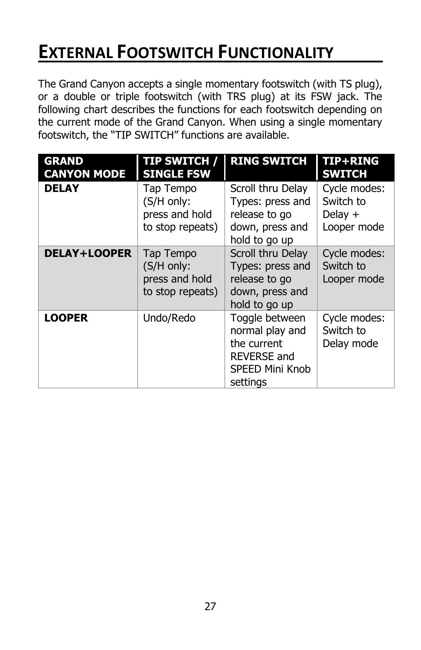# **EXTERNAL FOOTSWITCH FUNCTIONALITY**

The Grand Canyon accepts a single momentary footswitch (with TS plug), or a double or triple footswitch (with TRS plug) at its FSW jack. The following chart describes the functions for each footswitch depending on the current mode of the Grand Canyon. When using a single momentary footswitch, the "TIP SWITCH" functions are available.

| <b>GRAND</b><br><b>CANYON MODE</b> | <b>TIP SWITCH /</b><br><b>SINGLE FSW</b>                      | <b>RING SWITCH</b>                                                                                           | TIP+RING<br><b>SWITCH</b>                             |
|------------------------------------|---------------------------------------------------------------|--------------------------------------------------------------------------------------------------------------|-------------------------------------------------------|
| <b>DELAY</b>                       | Tap Tempo<br>(S/H only:<br>press and hold<br>to stop repeats) | Scroll thru Delay<br>Types: press and<br>release to go<br>down, press and<br>hold to go up                   | Cycle modes:<br>Switch to<br>Delay $+$<br>Looper mode |
| <b>DELAY+LOOPER</b>                | Tap Tempo<br>(S/H only:<br>press and hold<br>to stop repeats) | Scroll thru Delay<br>Types: press and<br>release to go<br>down, press and<br>hold to go up                   | Cycle modes:<br>Switch to<br>Looper mode              |
| <b>LOOPER</b>                      | Undo/Redo                                                     | Toggle between<br>normal play and<br>the current<br><b>REVERSE and</b><br><b>SPEED Mini Knob</b><br>settings | Cycle modes:<br>Switch to<br>Delay mode               |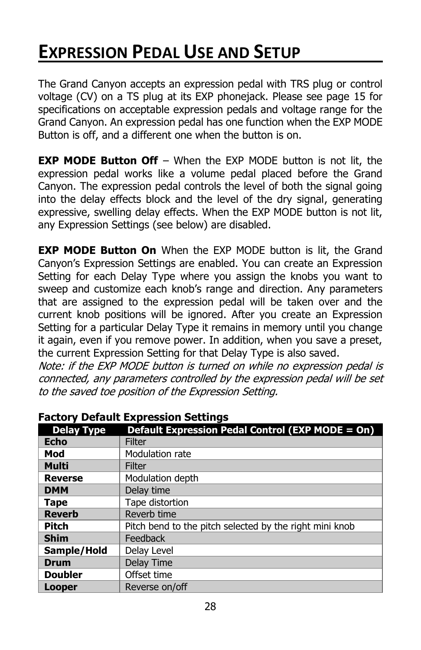# **EXPRESSION PEDAL USE AND SETUP**

The Grand Canyon accepts an expression pedal with TRS plug or control voltage (CV) on a TS plug at its EXP phonejack. Please see page 15 for specifications on acceptable expression pedals and voltage range for the Grand Canyon. An expression pedal has one function when the EXP MODE Button is off, and a different one when the button is on.

**EXP MODE Button Off** – When the EXP MODE button is not lit, the expression pedal works like a volume pedal placed before the Grand Canyon. The expression pedal controls the level of both the signal going into the delay effects block and the level of the dry signal, generating expressive, swelling delay effects. When the EXP MODE button is not lit, any Expression Settings (see below) are disabled.

**EXP MODE Button On** When the EXP MODE button is lit, the Grand Canyon's Expression Settings are enabled. You can create an Expression Setting for each Delay Type where you assign the knobs you want to sweep and customize each knob's range and direction. Any parameters that are assigned to the expression pedal will be taken over and the current knob positions will be ignored. After you create an Expression Setting for a particular Delay Type it remains in memory until you change it again, even if you remove power. In addition, when you save a preset, the current Expression Setting for that Delay Type is also saved.

Note: if the EXP MODE button is turned on while no expression pedal is connected, any parameters controlled by the expression pedal will be set to the saved toe position of the Expression Setting.

|                   | . actory belaant Expression bettings                    |
|-------------------|---------------------------------------------------------|
| <b>Delay Type</b> | Default Expression Pedal Control (EXP MODE = On)        |
| <b>Echo</b>       | Filter                                                  |
| Mod               | Modulation rate                                         |
| <b>Multi</b>      | Filter                                                  |
| <b>Reverse</b>    | Modulation depth                                        |
| <b>DMM</b>        | Delay time                                              |
| <b>Tape</b>       | Tape distortion                                         |
| <b>Reverb</b>     | Reverb time                                             |
| <b>Pitch</b>      | Pitch bend to the pitch selected by the right mini knob |
| <b>Shim</b>       | Feedback                                                |
| Sample/Hold       | Delay Level                                             |
| Drum              | Delay Time                                              |
| <b>Doubler</b>    | Offset time                                             |
| Looper            | Reverse on/off                                          |

#### **Factory Default Expression Settings**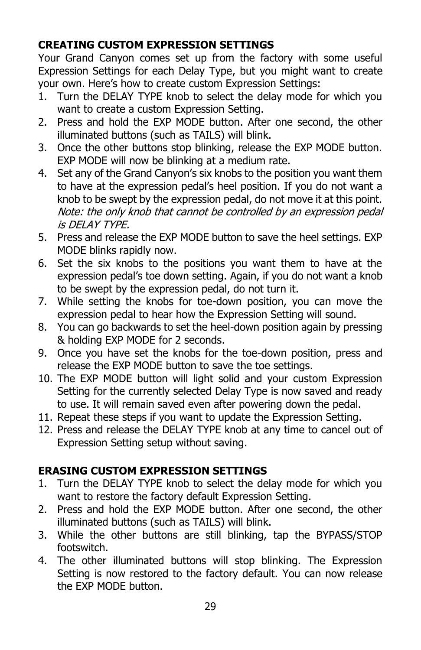# **CREATING CUSTOM EXPRESSION SETTINGS**

Your Grand Canyon comes set up from the factory with some useful Expression Settings for each Delay Type, but you might want to create your own. Here's how to create custom Expression Settings:

- 1. Turn the DELAY TYPE knob to select the delay mode for which you want to create a custom Expression Setting.
- 2. Press and hold the EXP MODE button. After one second, the other illuminated buttons (such as TAILS) will blink.
- 3. Once the other buttons stop blinking, release the EXP MODE button. EXP MODE will now be blinking at a medium rate.
- 4. Set any of the Grand Canyon's six knobs to the position you want them to have at the expression pedal's heel position. If you do not want a knob to be swept by the expression pedal, do not move it at this point. Note: the only knob that cannot be controlled by an expression pedal is DELAY TYPE.
- 5. Press and release the EXP MODE button to save the heel settings. EXP MODE blinks rapidly now.
- 6. Set the six knobs to the positions you want them to have at the expression pedal's toe down setting. Again, if you do not want a knob to be swept by the expression pedal, do not turn it.
- 7. While setting the knobs for toe-down position, you can move the expression pedal to hear how the Expression Setting will sound.
- 8. You can go backwards to set the heel-down position again by pressing & holding EXP MODE for 2 seconds.
- 9. Once you have set the knobs for the toe-down position, press and release the EXP MODE button to save the toe settings.
- 10. The EXP MODE button will light solid and your custom Expression Setting for the currently selected Delay Type is now saved and ready to use. It will remain saved even after powering down the pedal.
- 11. Repeat these steps if you want to update the Expression Setting.
- 12. Press and release the DELAY TYPE knob at any time to cancel out of Expression Setting setup without saving.

### **ERASING CUSTOM EXPRESSION SETTINGS**

- 1. Turn the DELAY TYPE knob to select the delay mode for which you want to restore the factory default Expression Setting.
- 2. Press and hold the EXP MODE button. After one second, the other illuminated buttons (such as TAILS) will blink.
- 3. While the other buttons are still blinking, tap the BYPASS/STOP footswitch.
- 4. The other illuminated buttons will stop blinking. The Expression Setting is now restored to the factory default. You can now release the EXP MODE button.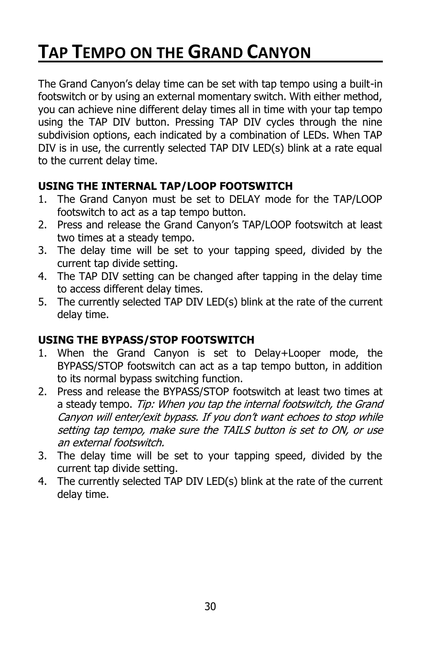# **TAP TEMPO ON THE GRAND CANYON**

The Grand Canyon's delay time can be set with tap tempo using a built-in footswitch or by using an external momentary switch. With either method, you can achieve nine different delay times all in time with your tap tempo using the TAP DIV button. Pressing TAP DIV cycles through the nine subdivision options, each indicated by a combination of LEDs. When TAP DIV is in use, the currently selected TAP DIV LED(s) blink at a rate equal to the current delay time.

### **USING THE INTERNAL TAP/LOOP FOOTSWITCH**

- 1. The Grand Canyon must be set to DELAY mode for the TAP/LOOP footswitch to act as a tap tempo button.
- 2. Press and release the Grand Canyon's TAP/LOOP footswitch at least two times at a steady tempo.
- 3. The delay time will be set to your tapping speed, divided by the current tap divide setting.
- 4. The TAP DIV setting can be changed after tapping in the delay time to access different delay times.
- 5. The currently selected TAP DIV LED(s) blink at the rate of the current delay time.

### **USING THE BYPASS/STOP FOOTSWITCH**

- 1. When the Grand Canyon is set to Delay+Looper mode, the BYPASS/STOP footswitch can act as a tap tempo button, in addition to its normal bypass switching function.
- 2. Press and release the BYPASS/STOP footswitch at least two times at a steady tempo. Tip: When you tap the internal footswitch, the Grand Canyon will enter/exit bypass. If you don't want echoes to stop while setting tap tempo, make sure the TAILS button is set to ON, or use an external footswitch.
- 3. The delay time will be set to your tapping speed, divided by the current tap divide setting.
- 4. The currently selected TAP DIV LED(s) blink at the rate of the current delay time.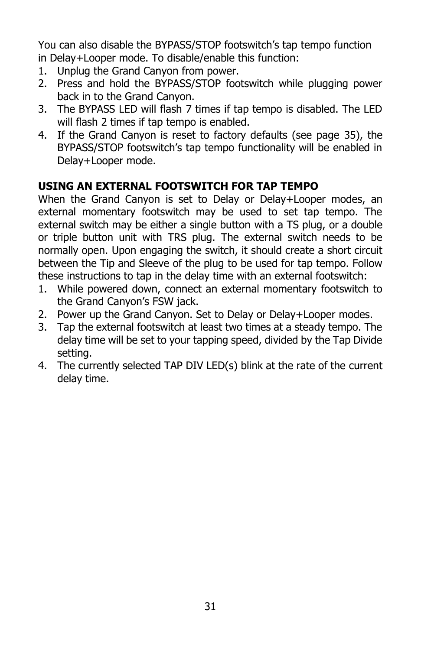You can also disable the BYPASS/STOP footswitch's tap tempo function in Delay+Looper mode. To disable/enable this function:

- 1. Unplug the Grand Canyon from power.
- 2. Press and hold the BYPASS/STOP footswitch while plugging power back in to the Grand Canyon.
- 3. The BYPASS LED will flash 7 times if tap tempo is disabled. The LED will flash 2 times if tap tempo is enabled.
- 4. If the Grand Canyon is reset to factory defaults (see page 35), the BYPASS/STOP footswitch's tap tempo functionality will be enabled in Delay+Looper mode.

# **USING AN EXTERNAL FOOTSWITCH FOR TAP TEMPO**

When the Grand Canyon is set to Delay or Delay+Looper modes, an external momentary footswitch may be used to set tap tempo. The external switch may be either a single button with a TS plug, or a double or triple button unit with TRS plug. The external switch needs to be normally open. Upon engaging the switch, it should create a short circuit between the Tip and Sleeve of the plug to be used for tap tempo. Follow these instructions to tap in the delay time with an external footswitch:

- 1. While powered down, connect an external momentary footswitch to the Grand Canyon's FSW jack.
- 2. Power up the Grand Canyon. Set to Delay or Delay+Looper modes.
- 3. Tap the external footswitch at least two times at a steady tempo. The delay time will be set to your tapping speed, divided by the Tap Divide setting.
- 4. The currently selected TAP DIV LED(s) blink at the rate of the current delay time.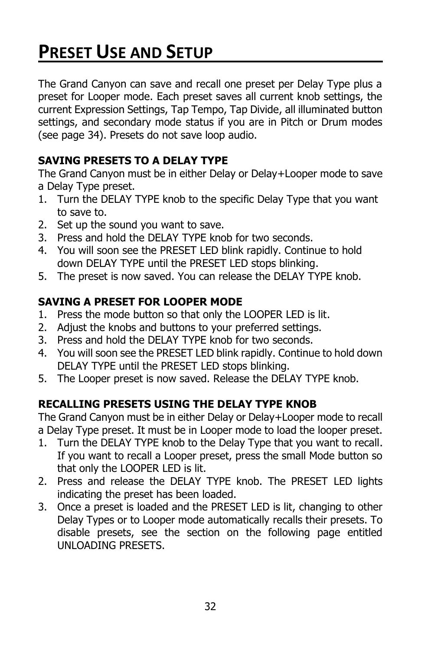# **PRESET USE AND SETUP**

The Grand Canyon can save and recall one preset per Delay Type plus a preset for Looper mode. Each preset saves all current knob settings, the current Expression Settings, Tap Tempo, Tap Divide, all illuminated button settings, and secondary mode status if you are in Pitch or Drum modes (see page 34). Presets do not save loop audio.

### **SAVING PRESETS TO A DELAY TYPE**

The Grand Canyon must be in either Delay or Delay+Looper mode to save a Delay Type preset.

- 1. Turn the DELAY TYPE knob to the specific Delay Type that you want to save to.
- 2. Set up the sound you want to save.
- 3. Press and hold the DELAY TYPE knob for two seconds.
- 4. You will soon see the PRESET LED blink rapidly. Continue to hold down DELAY TYPE until the PRESET LED stops blinking.
- 5. The preset is now saved. You can release the DELAY TYPE knob.

# **SAVING A PRESET FOR LOOPER MODE**

- 1. Press the mode button so that only the LOOPER LED is lit.
- 2. Adjust the knobs and buttons to your preferred settings.
- 3. Press and hold the DELAY TYPE knob for two seconds.
- 4. You will soon see the PRESET LED blink rapidly. Continue to hold down DELAY TYPE until the PRESET LED stops blinking.
- 5. The Looper preset is now saved. Release the DELAY TYPE knob.

# **RECALLING PRESETS USING THE DELAY TYPE KNOB**

The Grand Canyon must be in either Delay or Delay+Looper mode to recall a Delay Type preset. It must be in Looper mode to load the looper preset.

- 1. Turn the DELAY TYPE knob to the Delay Type that you want to recall. If you want to recall a Looper preset, press the small Mode button so that only the LOOPER LED is lit.
- 2. Press and release the DELAY TYPE knob. The PRESET LED lights indicating the preset has been loaded.
- 3. Once a preset is loaded and the PRESET LED is lit, changing to other Delay Types or to Looper mode automatically recalls their presets. To disable presets, see the section on the following page entitled UNLOADING PRESETS.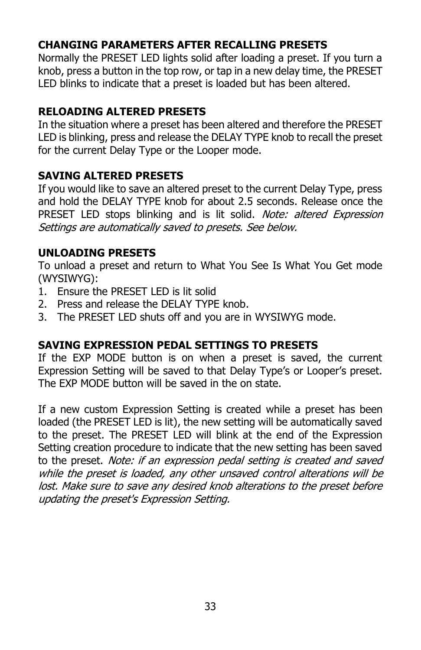### **CHANGING PARAMETERS AFTER RECALLING PRESETS**

Normally the PRESET LED lights solid after loading a preset. If you turn a knob, press a button in the top row, or tap in a new delay time, the PRESET LED blinks to indicate that a preset is loaded but has been altered.

### **RELOADING ALTERED PRESETS**

In the situation where a preset has been altered and therefore the PRESET LED is blinking, press and release the DELAY TYPE knob to recall the preset for the current Delay Type or the Looper mode.

### **SAVING ALTERED PRESETS**

If you would like to save an altered preset to the current Delay Type, press and hold the DELAY TYPE knob for about 2.5 seconds. Release once the PRESET LED stops blinking and is lit solid. Note: altered Expression Settings are automatically saved to presets. See below.

### **UNLOADING PRESETS**

To unload a preset and return to What You See Is What You Get mode (WYSIWYG):

- 1. Ensure the PRESET LED is lit solid
- 2. Press and release the DELAY TYPE knob.
- 3. The PRESET LED shuts off and you are in WYSIWYG mode.

### **SAVING EXPRESSION PEDAL SETTINGS TO PRESETS**

If the EXP MODE button is on when a preset is saved, the current Expression Setting will be saved to that Delay Type's or Looper's preset. The EXP MODE button will be saved in the on state.

If a new custom Expression Setting is created while a preset has been loaded (the PRESET LED is lit), the new setting will be automatically saved to the preset. The PRESET LED will blink at the end of the Expression Setting creation procedure to indicate that the new setting has been saved to the preset. Note: if an expression pedal setting is created and saved while the preset is loaded, any other unsaved control alterations will be lost. Make sure to save any desired knob alterations to the preset before updating the preset's Expression Setting.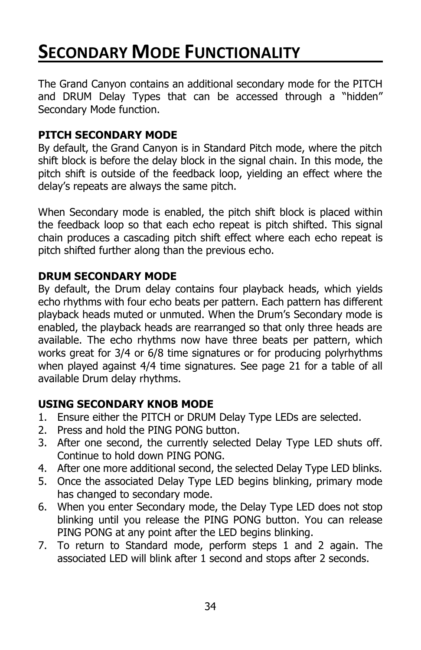# **SECONDARY MODE FUNCTIONALITY**

The Grand Canyon contains an additional secondary mode for the PITCH and DRUM Delay Types that can be accessed through a "hidden" Secondary Mode function.

### **PITCH SECONDARY MODE**

By default, the Grand Canyon is in Standard Pitch mode, where the pitch shift block is before the delay block in the signal chain. In this mode, the pitch shift is outside of the feedback loop, yielding an effect where the delay's repeats are always the same pitch.

When Secondary mode is enabled, the pitch shift block is placed within the feedback loop so that each echo repeat is pitch shifted. This signal chain produces a cascading pitch shift effect where each echo repeat is pitch shifted further along than the previous echo.

### **DRUM SECONDARY MODE**

By default, the Drum delay contains four playback heads, which yields echo rhythms with four echo beats per pattern. Each pattern has different playback heads muted or unmuted. When the Drum's Secondary mode is enabled, the playback heads are rearranged so that only three heads are available. The echo rhythms now have three beats per pattern, which works great for 3/4 or 6/8 time signatures or for producing polyrhythms when played against 4/4 time signatures. See page 21 for a table of all available Drum delay rhythms.

### **USING SECONDARY KNOB MODE**

- 1. Ensure either the PITCH or DRUM Delay Type LEDs are selected.
- 2. Press and hold the PING PONG button.
- 3. After one second, the currently selected Delay Type LED shuts off. Continue to hold down PING PONG.
- 4. After one more additional second, the selected Delay Type LED blinks.
- 5. Once the associated Delay Type LED begins blinking, primary mode has changed to secondary mode.
- 6. When you enter Secondary mode, the Delay Type LED does not stop blinking until you release the PING PONG button. You can release PING PONG at any point after the LED begins blinking.
- 7. To return to Standard mode, perform steps 1 and 2 again. The associated LED will blink after 1 second and stops after 2 seconds.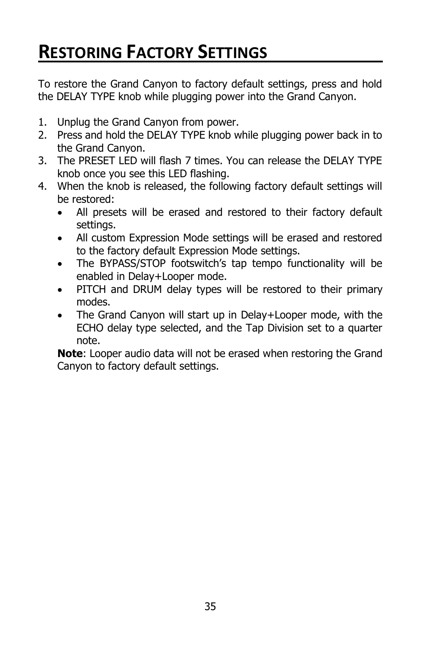# **RESTORING FACTORY SETTINGS**

To restore the Grand Canyon to factory default settings, press and hold the DELAY TYPE knob while plugging power into the Grand Canyon.

- 1. Unplug the Grand Canyon from power.
- 2. Press and hold the DELAY TYPE knob while plugging power back in to the Grand Canyon.
- 3. The PRESET LED will flash 7 times. You can release the DELAY TYPE knob once you see this LED flashing.
- 4. When the knob is released, the following factory default settings will be restored:
	- All presets will be erased and restored to their factory default settings.
	- All custom Expression Mode settings will be erased and restored to the factory default Expression Mode settings.
	- The BYPASS/STOP footswitch's tap tempo functionality will be enabled in Delay+Looper mode.
	- PITCH and DRUM delay types will be restored to their primary modes.
	- The Grand Canyon will start up in Delay+Looper mode, with the ECHO delay type selected, and the Tap Division set to a quarter note.

**Note**: Looper audio data will not be erased when restoring the Grand Canyon to factory default settings.